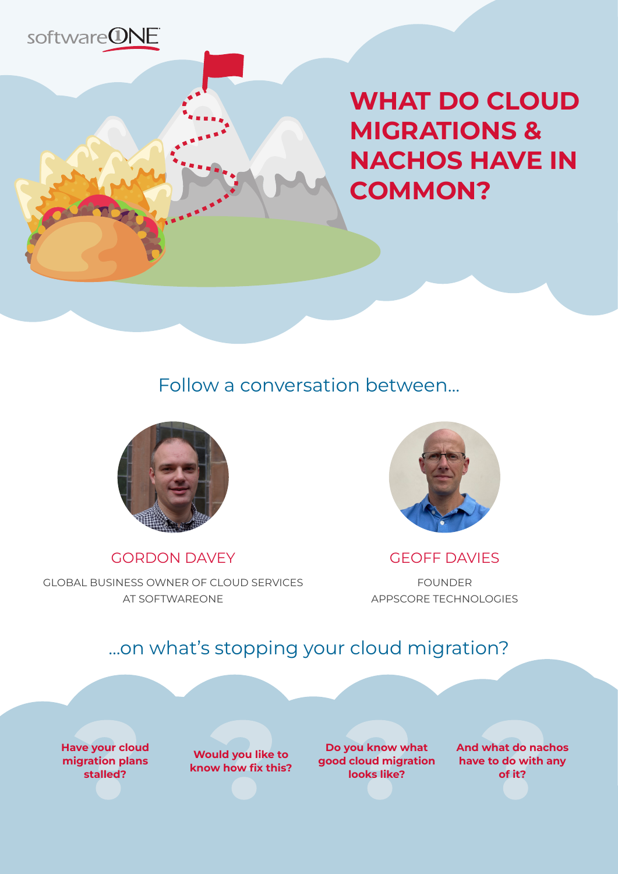

**WHAT DO CLOUD MIGRATIONS & NACHOS HAVE IN COMMON?**

## Follow a conversation between...



GORDON DAVEY





GEOFF DAVIES

FOUNDER APPSCORE TECHNOLOGIES

### ...on what's stopping your cloud migration?

**Have your cloud migration plans stalled?** 

**Would you like to know how fix this?** 

**Do you know what good cloud migration looks like?**

**And what do nachos have to do with any of it?**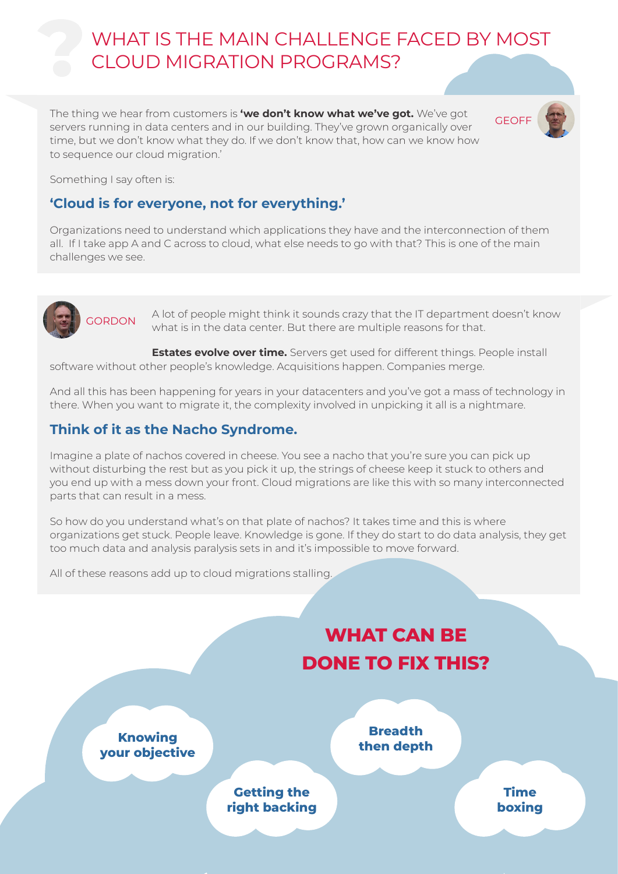## WHAT IS THE MAIN CHALLENGE FACED BY MOST CLOUD MIGRATION PROGRAMS?

The thing we hear from customers is **'we don't know what we've got.** We've got GEOFF servers running in data centers and in our building. They've grown organically over time, but we don't know what they do. If we don't know that, how can we know how to sequence our cloud migration.'



Something I say often is:

#### **'Cloud is for everyone, not for everything.'**

Organizations need to understand which applications they have and the interconnection of them all. If I take app A and C across to cloud, what else needs to go with that? This is one of the main challenges we see.



GORDON A lot of people might think it sounds crazy that the IT department doesn't know what is in the data center. But there are multiple reasons for that.

**Estates evolve over time.** Servers get used for different things. People install software without other people's knowledge. Acquisitions happen. Companies merge.

And all this has been happening for years in your datacenters and you've got a mass of technology in there. When you want to migrate it, the complexity involved in unpicking it all is a nightmare.

#### **Think of it as the Nacho Syndrome.**

Imagine a plate of nachos covered in cheese. You see a nacho that you're sure you can pick up without disturbing the rest but as you pick it up, the strings of cheese keep it stuck to others and you end up with a mess down your front. Cloud migrations are like this with so many interconnected parts that can result in a mess.

So how do you understand what's on that plate of nachos? It takes time and this is where organizations get stuck. People leave. Knowledge is gone. If they do start to do data analysis, they get too much data and analysis paralysis sets in and it's impossible to move forward.

All of these reasons add up to cloud migrations stalling.

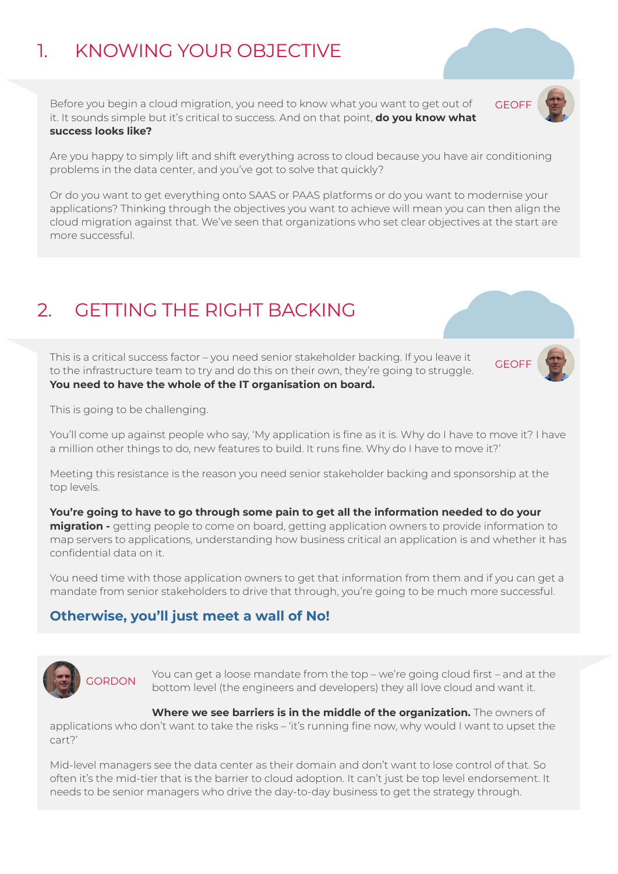# 1. KNOWING YOUR OBJECTIVE

Before you begin a cloud migration, you need to know what you want to get out of GEOFF it. It sounds simple but it's critical to success. And on that point, **do you know what success looks like?** 



Are you happy to simply lift and shift everything across to cloud because you have air conditioning problems in the data center, and you've got to solve that quickly?

Or do you want to get everything onto SAAS or PAAS platforms or do you want to modernise your applications? Thinking through the objectives you want to achieve will mean you can then align the cloud migration against that. We've seen that organizations who set clear objectives at the start are more successful.

# 2. GETTING THE RIGHT BACKING

This is a critical success factor – you need senior stakeholder backing. If you leave it GEOFF to the infrastructure team to try and do this on their own, they're going to struggle. **You need to have the whole of the IT organisation on board.** 



This is going to be challenging.

You'll come up against people who say, 'My application is fine as it is. Why do I have to move it? I have a million other things to do, new features to build. It runs fine. Why do I have to move it?'

Meeting this resistance is the reason you need senior stakeholder backing and sponsorship at the top levels.

**You're going to have to go through some pain to get all the information needed to do your migration -** getting people to come on board, getting application owners to provide information to map servers to applications, understanding how business critical an application is and whether it has confidential data on it.

You need time with those application owners to get that information from them and if you can get a mandate from senior stakeholders to drive that through, you're going to be much more successful.

#### **Otherwise, you'll just meet a wall of No!**



SORDON You can get a loose mandate from the top – we're going cloud first – and at the bottom level (the engineers and developers) they all love cloud and want it.

**Where we see barriers is in the middle of the organization.** The owners of applications who don't want to take the risks – 'it's running fine now, why would I want to upset the cart?'

Mid-level managers see the data center as their domain and don't want to lose control of that. So often it's the mid-tier that is the barrier to cloud adoption. It can't just be top level endorsement. It needs to be senior managers who drive the day-to-day business to get the strategy through.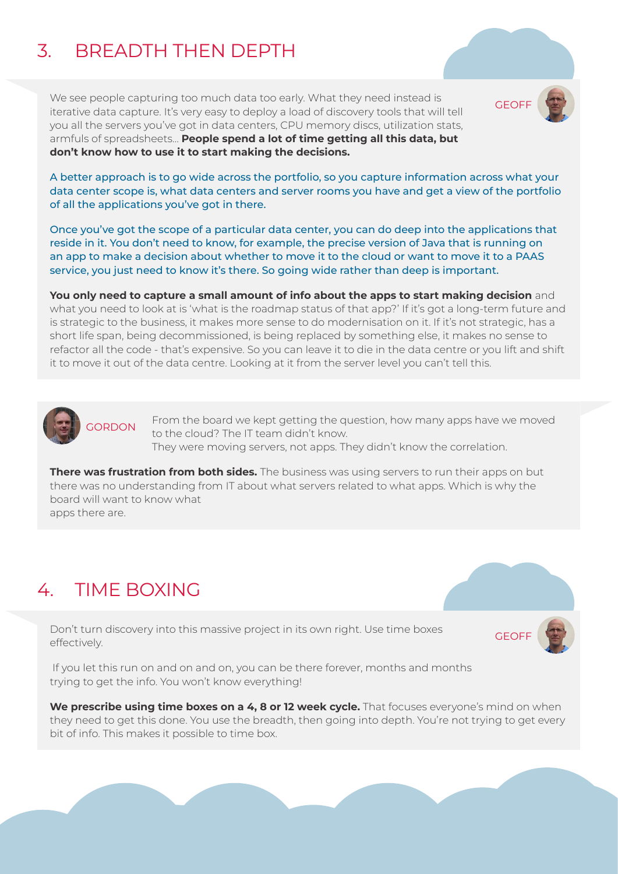# 3. BREADTH THEN DEPTH

We see people capturing too much data too early. What they need instead is<br>iterative data senture Itio vary seevite damby a local of discovery tools that will tell GEOFF iterative data capture. It's very easy to deploy a load of discovery tools that will tell you all the servers you've got in data centers, CPU memory discs, utilization stats, armfuls of spreadsheets… **People spend a lot of time getting all this data, but don't know how to use it to start making the decisions.** 

A better approach is to go wide across the portfolio, so you capture information across what your data center scope is, what data centers and server rooms you have and get a view of the portfolio of all the applications you've got in there.

Once you've got the scope of a particular data center, you can do deep into the applications that reside in it. You don't need to know, for example, the precise version of Java that is running on an app to make a decision about whether to move it to the cloud or want to move it to a PAAS service, you just need to know it's there. So going wide rather than deep is important.

**You only need to capture a small amount of info about the apps to start making decision** and what you need to look at is 'what is the roadmap status of that app?' If it's got a long-term future and is strategic to the business, it makes more sense to do modernisation on it. If it's not strategic, has a short life span, being decommissioned, is being replaced by something else, it makes no sense to refactor all the code - that's expensive. So you can leave it to die in the data centre or you lift and shift it to move it out of the data centre. Looking at it from the server level you can't tell this.



From the board we kept getting the question, how many apps have we moved to the cloud? The IT team didn't know. They were moving servers, not apps. They didn't know the correlation.

**There was frustration from both sides.** The business was using servers to run their apps on but there was no understanding from IT about what servers related to what apps. Which is why the board will want to know what apps there are.

## 4. TIME BOXING

Don't turn discovery into this massive project in its own right. Use time boxes GEOF effectively.

 If you let this run on and on and on, you can be there forever, months and months trying to get the info. You won't know everything!

**We prescribe using time boxes on a 4, 8 or 12 week cycle.** That focuses everyone's mind on when they need to get this done. You use the breadth, then going into depth. You're not trying to get every bit of info. This makes it possible to time box.